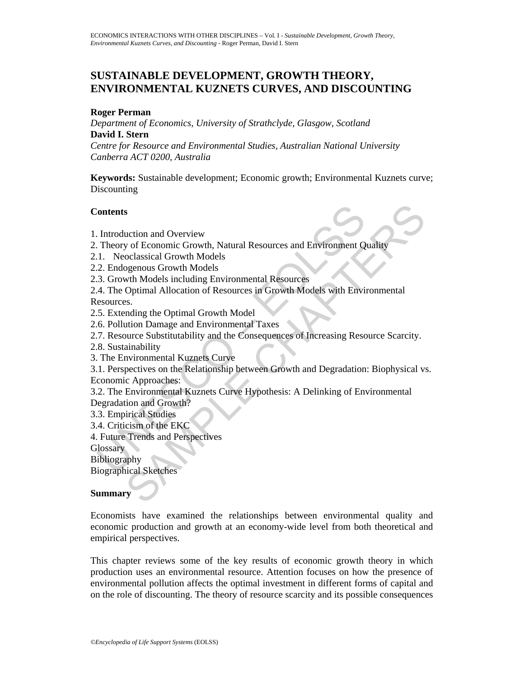# **SUSTAINABLE DEVELOPMENT, GROWTH THEORY, ENVIRONMENTAL KUZNETS CURVES, AND DISCOUNTING**

### **Roger Perman**

*Department of Economics, University of Strathclyde, Glasgow, Scotland*  **David I. Stern** 

*Centre for Resource and Environmental Studies, Australian National University Canberra ACT 0200, Australia* 

**Keywords:** Sustainable development; Economic growth; Environmental Kuznets curve; **Discounting** 

### **Contents**

1. Introduction and Overview

- 2. Theory of Economic Growth, Natural Resources and Environment Quality
- 2.1. Neoclassical Growth Models
- 2.2. Endogenous Growth Models
- 2.3. Growth Models including Environmental Resources
- Contents<br>
1. Introduction and Overview<br>
1. Theory of Economic Growth, Natural Resources and Environment Q<br>
1.1. Neoclassical Growth Models<br>
2. Endogenous Growth Models<br>
3. Growth Models<br>
3. Growth Models<br>
4. The Optimal Al 2.4. The Optimal Allocation of Resources in Growth Models with Environmental Resources.
- 2.5. Extending the Optimal Growth Model
- 2.6. Pollution Damage and Environmental Taxes
- 2.7. Resource Substitutability and the Consequences of Increasing Resource Scarcity.
- 2.8. Sustainability
- 3. The Environmental Kuznets Curve

S<br>
Suction and Overview<br>
y of Economic Growth, Natural Resources and Environment Quality<br>
oclassical Growth Models<br>
oclassical Growth Models<br>
with Models including Environmental Resources<br>
Optimal Allocation of Resources i 3.1. Perspectives on the Relationship between Growth and Degradation: Biophysical vs. Economic Approaches:

3.2. The Environmental Kuznets Curve Hypothesis: A Delinking of Environmental Degradation and Growth?

- 3.3. Empirical Studies
- 3.4. Criticism of the EKC
- 4. Future Trends and Perspectives

**Glossary** 

Bibliography

Biographical Sketches

### **Summary**

Economists have examined the relationships between environmental quality and economic production and growth at an economy-wide level from both theoretical and empirical perspectives.

This chapter reviews some of the key results of economic growth theory in which production uses an environmental resource. Attention focuses on how the presence of environmental pollution affects the optimal investment in different forms of capital and on the role of discounting. The theory of resource scarcity and its possible consequences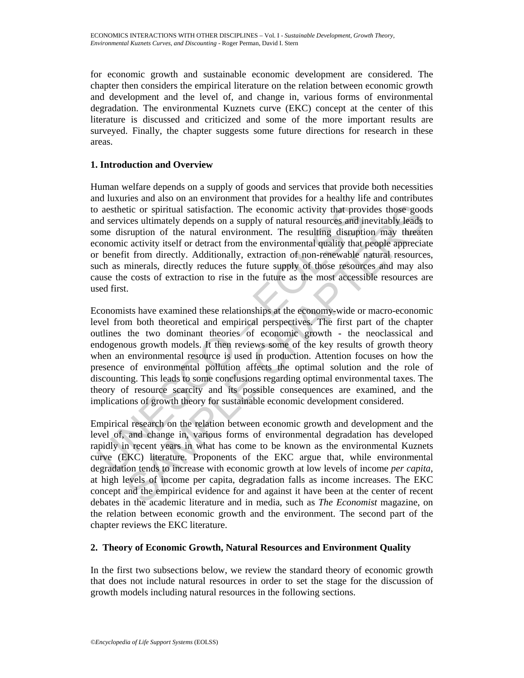for economic growth and sustainable economic development are considered. The chapter then considers the empirical literature on the relation between economic growth and development and the level of, and change in, various forms of environmental degradation. The environmental Kuznets curve (EKC) concept at the center of this literature is discussed and criticized and some of the more important results are surveyed. Finally, the chapter suggests some future directions for research in these areas.

# **1. Introduction and Overview**

Human welfare depends on a supply of goods and services that provide both necessities and luxuries and also on an environment that provides for a healthy life and contributes to aesthetic or spiritual satisfaction. The economic activity that provides those goods and services ultimately depends on a supply of natural resources and inevitably leads to some disruption of the natural environment. The resulting disruption may threaten economic activity itself or detract from the environmental quality that people appreciate or benefit from directly. Additionally, extraction of non-renewable natural resources, such as minerals, directly reduces the future supply of those resources and may also cause the costs of extraction to rise in the future as the most accessible resources are used first.

of a sethetic or spiritual satisfaction. The economic activity that prove a sethetic or spiritual satisfaction. The economic activity that prove discriment of the natural environment. The resulting disruption coronomic act tici or spiritual satisfaction. The economic activity that provides those good<br>cose ultimately depends on a supply of natural resources and invertibly leads to<br>structure or the natural environment. The resulting dissuperio Economists have examined these relationships at the economy-wide or macro-economic level from both theoretical and empirical perspectives. The first part of the chapter outlines the two dominant theories of economic growth - the neoclassical and endogenous growth models. It then reviews some of the key results of growth theory when an environmental resource is used in production. Attention focuses on how the presence of environmental pollution affects the optimal solution and the role of discounting. This leads to some conclusions regarding optimal environmental taxes. The theory of resource scarcity and its possible consequences are examined, and the implications of growth theory for sustainable economic development considered.

Empirical research on the relation between economic growth and development and the level of, and change in, various forms of environmental degradation has developed rapidly in recent years in what has come to be known as the environmental Kuznets curve (EKC) literature. Proponents of the EKC argue that, while environmental degradation tends to increase with economic growth at low levels of income *per capita*, at high levels of income per capita, degradation falls as income increases. The EKC concept and the empirical evidence for and against it have been at the center of recent debates in the academic literature and in media, such as *The Economist* magazine, on the relation between economic growth and the environment. The second part of the chapter reviews the EKC literature.

# **2. Theory of Economic Growth, Natural Resources and Environment Quality**

In the first two subsections below, we review the standard theory of economic growth that does not include natural resources in order to set the stage for the discussion of growth models including natural resources in the following sections.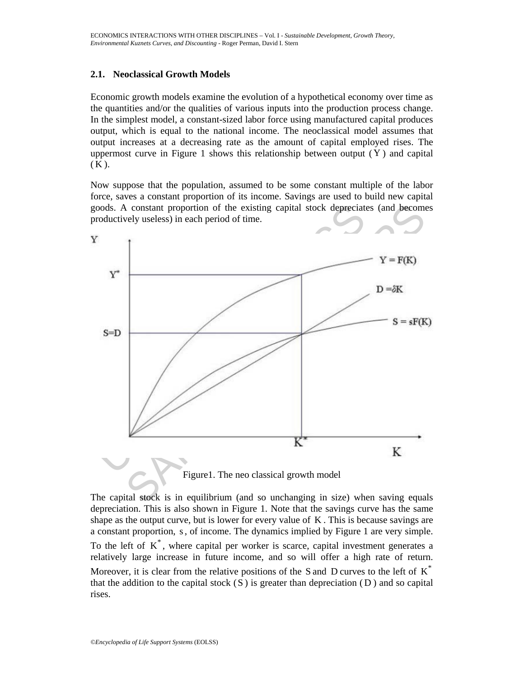### **2.1. Neoclassical Growth Models**

Economic growth models examine the evolution of a hypothetical economy over time as the quantities and/or the qualities of various inputs into the production process change. In the simplest model, a constant-sized labor force using manufactured capital produces output, which is equal to the national income. The neoclassical model assumes that output increases at a decreasing rate as the amount of capital employed rises. The uppermost curve in Figure 1 shows this relationship between output  $(Y)$  and capital  $(K)$ .

Now suppose that the population, assumed to be some constant multiple of the labor force, saves a constant proportion of its income. Savings are used to build new capital goods. A constant proportion of the existing capital stock depreciates (and becomes productively useless) in each period of time.



Figure1. The neo classical growth model

The capital stock is in equilibrium (and so unchanging in size) when saving equals depreciation. This is also shown in Figure 1. Note that the savings curve has the same shape as the output curve, but is lower for every value of K . This is because savings are a constant proportion, s, of income. The dynamics implied by Figure 1 are very simple. To the left of  $K^*$ , where capital per worker is scarce, capital investment generates a relatively large increase in future income, and so will offer a high rate of return. Moreover, it is clear from the relative positions of the S and D curves to the left of  $K^*$ that the addition to the capital stock  $(S)$  is greater than depreciation  $(D)$  and so capital rises.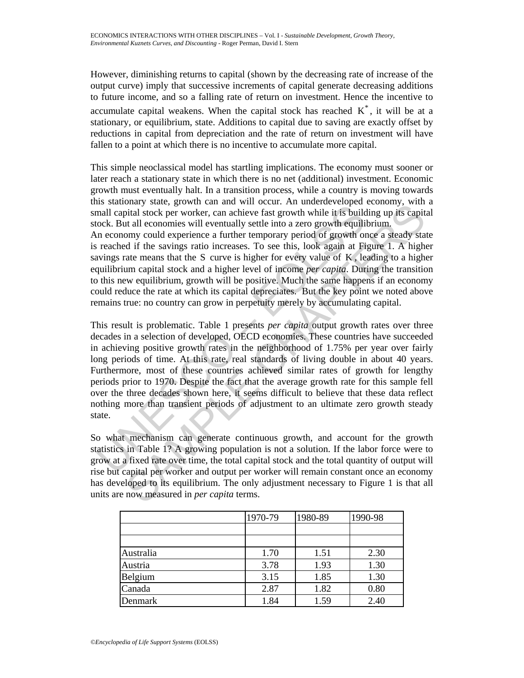However, diminishing returns to capital (shown by the decreasing rate of increase of the output curve) imply that successive increments of capital generate decreasing additions to future income, and so a falling rate of return on investment. Hence the incentive to accumulate capital weakens. When the capital stock has reached  $K^*$ , it will be at a stationary, or equilibrium, state. Additions to capital due to saving are exactly offset by reductions in capital from depreciation and the rate of return on investment will have fallen to a point at which there is no incentive to accumulate more capital.

This simple neoclassical model has startling implications. The economy must sooner or later reach a stationary state in which there is no net (additional) investment. Economic growth must eventually halt. In a transition process, while a country is moving towards this stationary state, growth can and will occur. An underdeveloped economy, with a small capital stock per worker, can achieve fast growth while it is building up its capital stock. But all economies will eventually settle into a zero growth equilibrium.

An economy could experience a further temporary period of growth once a steady state is reached if the savings ratio increases. To see this, look again at Figure 1. A higher savings rate means that the S curve is higher for every value of  $K$ , leading to a higher equilibrium capital stock and a higher level of income *per capita*. During the transition to this new equilibrium, growth will be positive. Much the same happens if an economy could reduce the rate at which its capital depreciates. But the key point we noted above remains true: no country can grow in perpetuity merely by accumulating capital.

as sationally state, grown can am am with occur in that was one and any and a pinall capital stock per worker, can achieve fast growth while it is build ne conomy could experience a further temporary period of growth or re brand y state, gow the rand win octeut. An unctuate volped cronomy, what all economics will eventually settle into a zero growth equilibrium.<br>Thild stock per worker, can achieve fast growth while it is building up its cap This result is problematic. Table 1 presents *per capita* output growth rates over three decades in a selection of developed, OECD economies. These countries have succeeded in achieving positive growth rates in the neighborhood of 1.75% per year over fairly long periods of time. At this rate, real standards of living double in about 40 years. Furthermore, most of these countries achieved similar rates of growth for lengthy periods prior to 1970. Despite the fact that the average growth rate for this sample fell over the three decades shown here, it seems difficult to believe that these data reflect nothing more than transient periods of adjustment to an ultimate zero growth steady state.

So what mechanism can generate continuous growth, and account for the growth statistics in Table 1? A growing population is not a solution. If the labor force were to grow at a fixed rate over time, the total capital stock and the total quantity of output will rise but capital per worker and output per worker will remain constant once an economy has developed to its equilibrium. The only adjustment necessary to Figure 1 is that all units are now measured in *per capita* terms.

|           | 1970-79 | 1980-89 | 1990-98 |
|-----------|---------|---------|---------|
|           |         |         |         |
|           |         |         |         |
| Australia | 1.70    | 1.51    | 2.30    |
| Austria   | 3.78    | 1.93    | 1.30    |
| Belgium   | 3.15    | 1.85    | 1.30    |
| Canada    | 2.87    | 1.82    | 0.80    |
| Denmark   | 1.84    | 1.59    | 2.40    |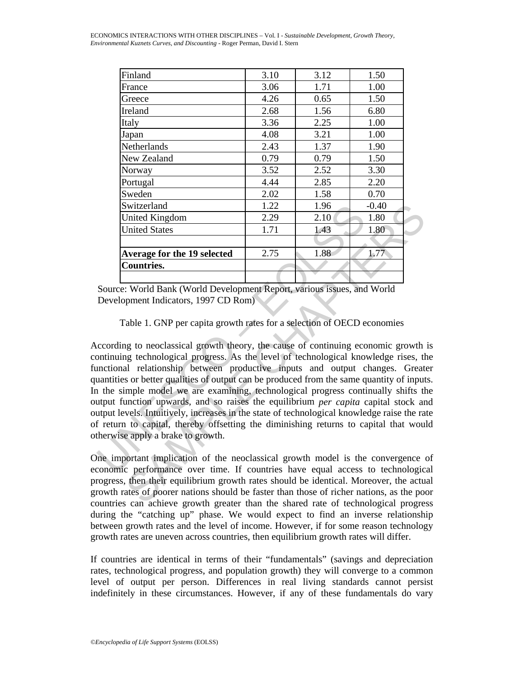| Finland                     | 3.10 | 3.12 | 1.50    |
|-----------------------------|------|------|---------|
| France                      | 3.06 | 1.71 | 1.00    |
| Greece                      | 4.26 | 0.65 | 1.50    |
| Ireland                     | 2.68 | 1.56 | 6.80    |
| Italy                       | 3.36 | 2.25 | 1.00    |
| Japan                       | 4.08 | 3.21 | 1.00    |
| Netherlands                 | 2.43 | 1.37 | 1.90    |
| New Zealand                 | 0.79 | 0.79 | 1.50    |
| Norway                      | 3.52 | 2.52 | 3.30    |
| Portugal                    | 4.44 | 2.85 | 2.20    |
| Sweden                      | 2.02 | 1.58 | 0.70    |
| Switzerland                 | 1.22 | 1.96 | $-0.40$ |
| <b>United Kingdom</b>       | 2.29 | 2.10 | 1.80    |
| <b>United States</b>        | 1.71 | 1.43 | 1.80    |
|                             |      |      |         |
| Average for the 19 selected | 2.75 | 1.88 | 1.77    |
| <b>Countries.</b>           |      |      |         |
|                             |      |      |         |

Source: World Bank (World Development Report, various issues, and World Development Indicators, 1997 CD Rom)

Table 1. GNP per capita growth rates for a selection of OECD economies

Switzerland 1.22 1.96<br>
United Kingdom 2.29 2.10<br>
United States 1.71 1.43<br>
Average for the 19 selected 2.75 1.88<br>
Countries.<br>
Source: World Bank (World Development Report, various issues, and<br>
Development Indicators, 1997 Solution 12.22 1.96 -0.40<br>
United Kingdom<br>
1.71 1.43 1.80<br>
1.71 1.43 1.80<br>
1.71 1.43 1.80<br>
1.71 1.43 1.80<br>
1.71 1.43 1.80<br>
2.9 2.9 1.71 1.43 1.80<br>
2.75 1.88 1.77<br>
2.79 1.88 1.77<br>
2.79 1.88 1.77<br>
2.79 1.88 1.77<br>
2.79 1.88 According to neoclassical growth theory, the cause of continuing economic growth is continuing technological progress. As the level of technological knowledge rises, the functional relationship between productive inputs and output changes. Greater quantities or better qualities of output can be produced from the same quantity of inputs. In the simple model we are examining, technological progress continually shifts the output function upwards, and so raises the equilibrium *per capita* capital stock and output levels. Intuitively, increases in the state of technological knowledge raise the rate of return to capital, thereby offsetting the diminishing returns to capital that would otherwise apply a brake to growth.

One important implication of the neoclassical growth model is the convergence of economic performance over time. If countries have equal access to technological progress, then their equilibrium growth rates should be identical. Moreover, the actual growth rates of poorer nations should be faster than those of richer nations, as the poor countries can achieve growth greater than the shared rate of technological progress during the "catching up" phase. We would expect to find an inverse relationship between growth rates and the level of income. However, if for some reason technology growth rates are uneven across countries, then equilibrium growth rates will differ.

If countries are identical in terms of their "fundamentals" (savings and depreciation rates, technological progress, and population growth) they will converge to a common level of output per person. Differences in real living standards cannot persist indefinitely in these circumstances. However, if any of these fundamentals do vary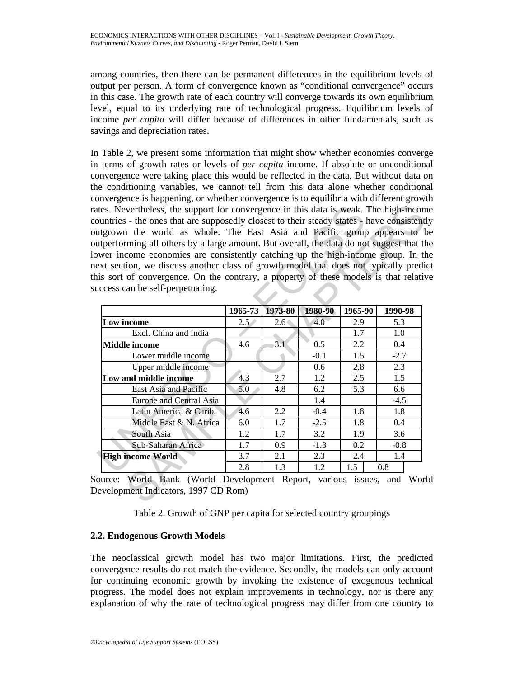among countries, then there can be permanent differences in the equilibrium levels of output per person. A form of convergence known as "conditional convergence" occurs in this case. The growth rate of each country will converge towards its own equilibrium level, equal to its underlying rate of technological progress. Equilibrium levels of income *per capita* will differ because of differences in other fundamentals, such as savings and depreciation rates.

In Table 2, we present some information that might show whether economies converge in terms of growth rates or levels of *per capita* income. If absolute or unconditional convergence were taking place this would be reflected in the data. But without data on the conditioning variables, we cannot tell from this data alone whether conditional convergence is happening, or whether convergence is to equilibria with different growth rates. Nevertheless, the support for convergence in this data is weak. The high-income countries - the ones that are supposedly closest to their steady states - have consistently outgrown the world as whole. The East Asia and Pacific group appears to be outperforming all others by a large amount. But overall, the data do not suggest that the lower income economies are consistently catching up the high-income group. In the next section, we discuss another class of growth model that does not typically predict this sort of convergence. On the contrary, a property of these models is that relative success can be self-perpetuating.

| buntries - the ones that are supposedly closest to their steady states - have consistently<br>utgrown the world as whole. The East Asia and Pacific group appears to b<br>utperforming all others by a large amount. But overall, the data do not suggest that the<br>ower income economies are consistently catching up the high-income group. In the<br>ext section, we discuss another class of growth model that does not typically predi-<br>is sort of convergence. On the contrary, a property of these models is that relative<br>access can be self-perpetuating. |               |               |         |         |         |
|----------------------------------------------------------------------------------------------------------------------------------------------------------------------------------------------------------------------------------------------------------------------------------------------------------------------------------------------------------------------------------------------------------------------------------------------------------------------------------------------------------------------------------------------------------------------------|---------------|---------------|---------|---------|---------|
|                                                                                                                                                                                                                                                                                                                                                                                                                                                                                                                                                                            | 1965-73       | 1973-80       | 1980-90 | 1965-90 | 1990-98 |
| Low income                                                                                                                                                                                                                                                                                                                                                                                                                                                                                                                                                                 | $2.5^{\circ}$ | $2.6^{\circ}$ | 4.0     | 2.9     | 5.3     |
| Excl. China and India                                                                                                                                                                                                                                                                                                                                                                                                                                                                                                                                                      |               |               |         | 1.7     | 1.0     |
| <b>Middle income</b>                                                                                                                                                                                                                                                                                                                                                                                                                                                                                                                                                       | 4.6           | 3.1           | 0.5     | 2.2     | 0.4     |
| Lower middle income                                                                                                                                                                                                                                                                                                                                                                                                                                                                                                                                                        |               |               | $-0.1$  | 1.5     | $-2.7$  |
| Upper middle income                                                                                                                                                                                                                                                                                                                                                                                                                                                                                                                                                        |               |               | 0.6     | 2.8     | 2.3     |
| Low and middle income                                                                                                                                                                                                                                                                                                                                                                                                                                                                                                                                                      | 4.3           | 2.7           | 1.2     | 2.5     | 1.5     |
| East Asia and Pacific                                                                                                                                                                                                                                                                                                                                                                                                                                                                                                                                                      | 5.0           | 4.8           | 6.2     | 5.3     | 6.6     |
| Europe and Central Asia                                                                                                                                                                                                                                                                                                                                                                                                                                                                                                                                                    |               |               | 1.4     |         | $-4.5$  |
| Latin America & Carib.                                                                                                                                                                                                                                                                                                                                                                                                                                                                                                                                                     | 4.6           | 2.2           | $-0.4$  | 1.8     | 1.8     |
| Middle East & N. Africa                                                                                                                                                                                                                                                                                                                                                                                                                                                                                                                                                    | 6.0           | 1.7           | $-2.5$  | 1.8     | 0.4     |
| South Asia                                                                                                                                                                                                                                                                                                                                                                                                                                                                                                                                                                 | 1.2           | 1.7           | 3.2     | 1.9     | 3.6     |
|                                                                                                                                                                                                                                                                                                                                                                                                                                                                                                                                                                            | 1.7           | 0.9           | $-1.3$  | 0.2     | $-0.8$  |
| Sub-Saharan Africa                                                                                                                                                                                                                                                                                                                                                                                                                                                                                                                                                         |               |               |         |         |         |
| <b>High income World</b>                                                                                                                                                                                                                                                                                                                                                                                                                                                                                                                                                   | 3.7           | 2.1           | 2.3     | 2.4     | 1.4     |

Table 2. Growth of GNP per capita for selected country groupings

# **2.2. Endogenous Growth Models**

The neoclassical growth model has two major limitations. First, the predicted convergence results do not match the evidence. Secondly, the models can only account for continuing economic growth by invoking the existence of exogenous technical progress. The model does not explain improvements in technology, nor is there any explanation of why the rate of technological progress may differ from one country to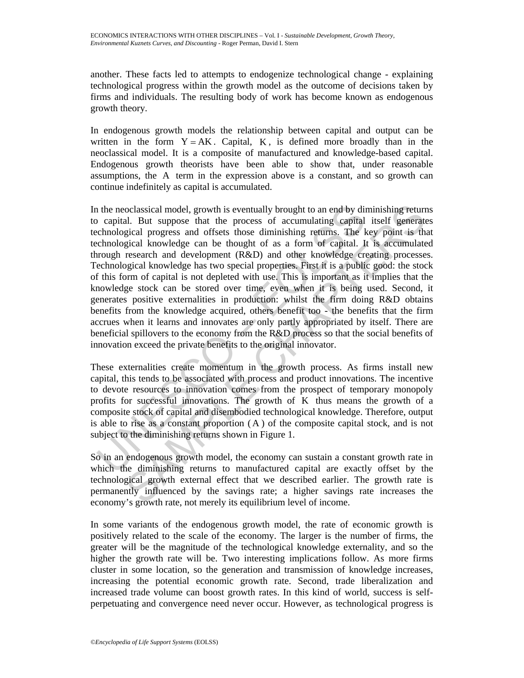another. These facts led to attempts to endogenize technological change - explaining technological progress within the growth model as the outcome of decisions taken by firms and individuals. The resulting body of work has become known as endogenous growth theory.

In endogenous growth models the relationship between capital and output can be written in the form  $Y = AK$ . Capital, K, is defined more broadly than in the neoclassical model. It is a composite of manufactured and knowledge-based capital. Endogenous growth theorists have been able to show that, under reasonable assumptions, the A term in the expression above is a constant, and so growth can continue indefinitely as capital is accumulated.

is the neoclassical model, growth is eventually brought to an end by dip capital. But suppose that the process of accumulating capital echnological progress and offsets those diminishing returns. The Herodogical trowledge oclassical model, growth is eventually brought to an end by diminishing return.<br>I. But suppose that the process of accumulating capital istelf generate<br>gical progress and offsets those diminishing returns. The key point is In the neoclassical model, growth is eventually brought to an end by diminishing returns to capital. But suppose that the process of accumulating capital itself generates technological progress and offsets those diminishing returns. The key point is that technological knowledge can be thought of as a form of capital. It is accumulated through research and development (R&D) and other knowledge creating processes. Technological knowledge has two special properties. First it is a public good: the stock of this form of capital is not depleted with use. This is important as it implies that the knowledge stock can be stored over time, even when it is being used. Second, it generates positive externalities in production: whilst the firm doing R&D obtains benefits from the knowledge acquired, others benefit too - the benefits that the firm accrues when it learns and innovates are only partly appropriated by itself. There are beneficial spillovers to the economy from the R&D process so that the social benefits of innovation exceed the private benefits to the original innovator.

These externalities create momentum in the growth process. As firms install new capital, this tends to be associated with process and product innovations. The incentive to devote resources to innovation comes from the prospect of temporary monopoly profits for successful innovations. The growth of K thus means the growth of a composite stock of capital and disembodied technological knowledge. Therefore, output is able to rise as a constant proportion ( A ) of the composite capital stock, and is not subject to the diminishing returns shown in Figure 1.

So in an endogenous growth model, the economy can sustain a constant growth rate in which the diminishing returns to manufactured capital are exactly offset by the technological growth external effect that we described earlier. The growth rate is permanently influenced by the savings rate; a higher savings rate increases the economy's growth rate, not merely its equilibrium level of income.

In some variants of the endogenous growth model, the rate of economic growth is positively related to the scale of the economy. The larger is the number of firms, the greater will be the magnitude of the technological knowledge externality, and so the higher the growth rate will be. Two interesting implications follow. As more firms cluster in some location, so the generation and transmission of knowledge increases, increasing the potential economic growth rate. Second, trade liberalization and increased trade volume can boost growth rates. In this kind of world, success is selfperpetuating and convergence need never occur. However, as technological progress is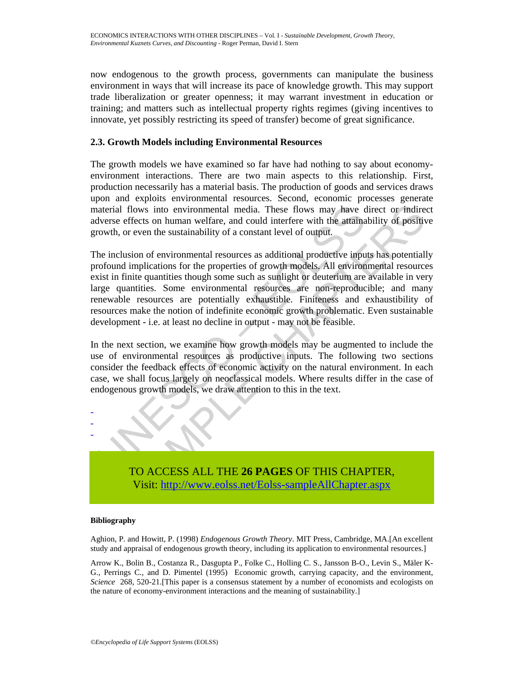now endogenous to the growth process, governments can manipulate the business environment in ways that will increase its pace of knowledge growth. This may support trade liberalization or greater openness; it may warrant investment in education or training; and matters such as intellectual property rights regimes (giving incentives to innovate, yet possibly restricting its speed of transfer) become of great significance.

## **2.3. Growth Models including Environmental Resources**

The growth models we have examined so far have had nothing to say about economyenvironment interactions. There are two main aspects to this relationship. First, production necessarily has a material basis. The production of goods and services draws upon and exploits environmental resources. Second, economic processes generate material flows into environmental media. These flows may have direct or indirect adverse effects on human welfare, and could interfere with the attainability of positive growth, or even the sustainability of a constant level of output.

interial flows into environmental media. These flows may have converted the extreme effects on human welfare, and could interfere with the attaination of the sustainability of a constant level of output.<br>He inclusion of en flows into environmental media. These flows may have direct or indirectlects on human welfare, and could interfere with the attainability of positive or even the sustainability of a constant level of output.<br>
sion of envir The inclusion of environmental resources as additional productive inputs has potentially profound implications for the properties of growth models. All environmental resources exist in finite quantities though some such as sunlight or deuterium are available in very large quantities. Some environmental resources are non-reproducible; and many renewable resources are potentially exhaustible. Finiteness and exhaustibility of resources make the notion of indefinite economic growth problematic. Even sustainable development - i.e. at least no decline in output - may not be feasible.

In the next section, we examine how growth models may be augmented to include the use of environmental resources as productive inputs. The following two sections consider the feedback effects of economic activity on the natural environment. In each case, we shall focus largely on neoclassical models. Where results differ in the case of endogenous growth models, we draw attention to this in the text.



### **Bibliography**

- - -

Aghion, P. and Howitt, P. (1998) *Endogenous Growth Theory*. MIT Press, Cambridge, MA.[An excellent study and appraisal of endogenous growth theory, including its application to environmental resources.]

Arrow K., Bolin B., Costanza R., Dasgupta P., Folke C., Holling C. S., Jansson B-O., Levin S., Mäler K-G., Perrings C., and D. Pimentel (1995) Economic growth, carrying capacity, and the environment, *Science* 268, 520-21.[This paper is a consensus statement by a number of economists and ecologists on the nature of economy-environment interactions and the meaning of sustainability.]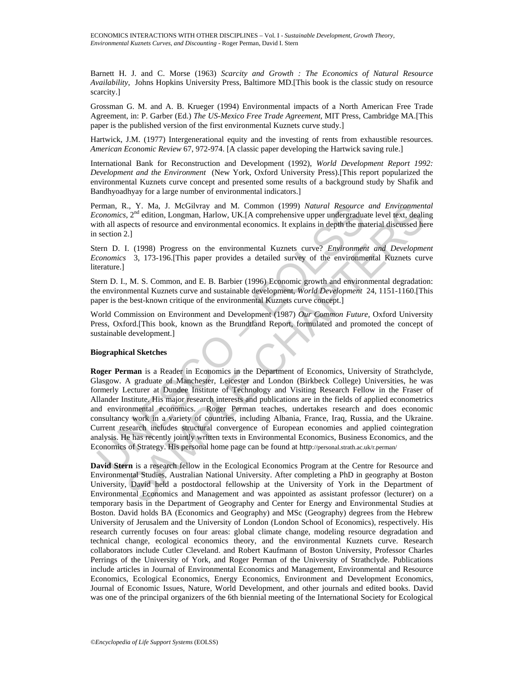Barnett H. J. and C. Morse (1963) *Scarcity and Growth : The Economics of Natural Resource Availability*, Johns Hopkins University Press, Baltimore MD.[This book is the classic study on resource scarcity.]

Grossman G. M. and A. B. Krueger (1994) Environmental impacts of a North American Free Trade Agreement, in: P. Garber (Ed.) *The US-Mexico Free Trade Agreement*, MIT Press, Cambridge MA.[This paper is the published version of the first environmental Kuznets curve study.]

Hartwick, J.M. (1977) Intergenerational equity and the investing of rents from exhaustible resources. *American Economic Review* 67, 972-974. [A classic paper developing the Hartwick saving rule.]

International Bank for Reconstruction and Development (1992), *World Development Report 1992: Development and the Environment* (New York, Oxford University Press).[This report popularized the environmental Kuznets curve concept and presented some results of a background study by Shafik and Bandhyoadhyay for a large number of environmental indicators.]

Perman, R., Y. Ma, J. McGilvray and M. Common (1999) *Natural Resource and Environmental Economics*, 2<sup>nd</sup> edition, Longman, Harlow, UK.[A comprehensive upper undergraduate level text, dealing with all aspects of resource and environmental economics. It explains in depth the material discussed here in section 2.]

Stern D. I. (1998) Progress on the environmental Kuznets curve? *Environment and Development Economics* 3, 173-196.[This paper provides a detailed survey of the environmental Kuznets curve literature.]

Stern D. I., M. S. Common, and E. B. Barbier (1996) Economic growth and environmental degradation: the environmental Kuznets curve and sustainable development, *World Development* 24, 1151-1160.[This paper is the best-known critique of the environmental Kuznets curve concept.]

World Commission on Environment and Development (1987) *Our Common Future*, Oxford University Press, Oxford.[This book, known as the Brundtland Report, formulated and promoted the concept of sustainable development.]

#### **Biographical Sketches**

erman, R., Y. Ma, J. McGilvray and M. Common (1999) *Natural Resource*<br>commonics, 2<sup>nd</sup> edition, Longman, Harlow, UK.[A comprehensive upper undergraduate<br>ith all aspects of resource and environmental economics. It explain L, Y. Ma, J. McGilviny and M. Common (1999) *Natural Resource and Environmeti*,  $\mathbf{S}_{\text{L}}$ ,  $\mathbf{S}_{\text{L}}$ ,  $\mathbf{S}_{\text{L}}$ ,  $\mathbf{S}_{\text{L}}$ ,  $\mathbf{S}_{\text{L}}$ ,  $\mathbf{S}_{\text{L}}$ ,  $\mathbf{S}_{\text{L}}$ ,  $\mathbf{S}_{\text{L}}$  dedition, Longman, Harl **Roger Perman** is a Reader in Economics in the Department of Economics, University of Strathclyde, Glasgow. A graduate of Manchester, Leicester and London (Birkbeck College) Universities, he was formerly Lecturer at Dundee Institute of Technology and Visiting Research Fellow in the Fraser of Allander Institute. His major research interests and publications are in the fields of applied econometrics and environmental economics. Roger Perman teaches, undertakes research and does economic consultancy work in a variety of countries, including Albania, France, Iraq, Russia, and the Ukraine. Current research includes structural convergence of European economies and applied cointegration analysis. He has recently jointly written texts in Environmental Economics, Business Economics, and the Economics of Strategy. His personal home page can be found at http://personal.strath.ac.uk/r.perman/

**David Stern** is a research fellow in the Ecological Economics Program at the Centre for Resource and Environmental Studies, Australian National University. After completing a PhD in geography at Boston University, David held a postdoctoral fellowship at the University of York in the Department of Environmental Economics and Management and was appointed as assistant professor (lecturer) on a temporary basis in the Department of Geography and Center for Energy and Environmental Studies at Boston. David holds BA (Economics and Geography) and MSc (Geography) degrees from the Hebrew University of Jerusalem and the University of London (London School of Economics), respectively. His research currently focuses on four areas: global climate change, modeling resource degradation and technical change, ecological economics theory, and the environmental Kuznets curve. Research collaborators include Cutler Cleveland. and Robert Kaufmann of Boston University, Professor Charles Perrings of the University of York, and Roger Perman of the University of Strathclyde. Publications include articles in Journal of Environmental Economics and Management, Environmental and Resource Economics, Ecological Economics, Energy Economics, Environment and Development Economics, Journal of Economic Issues, Nature, World Development, and other journals and edited books. David was one of the principal organizers of the 6th biennial meeting of the International Society for Ecological